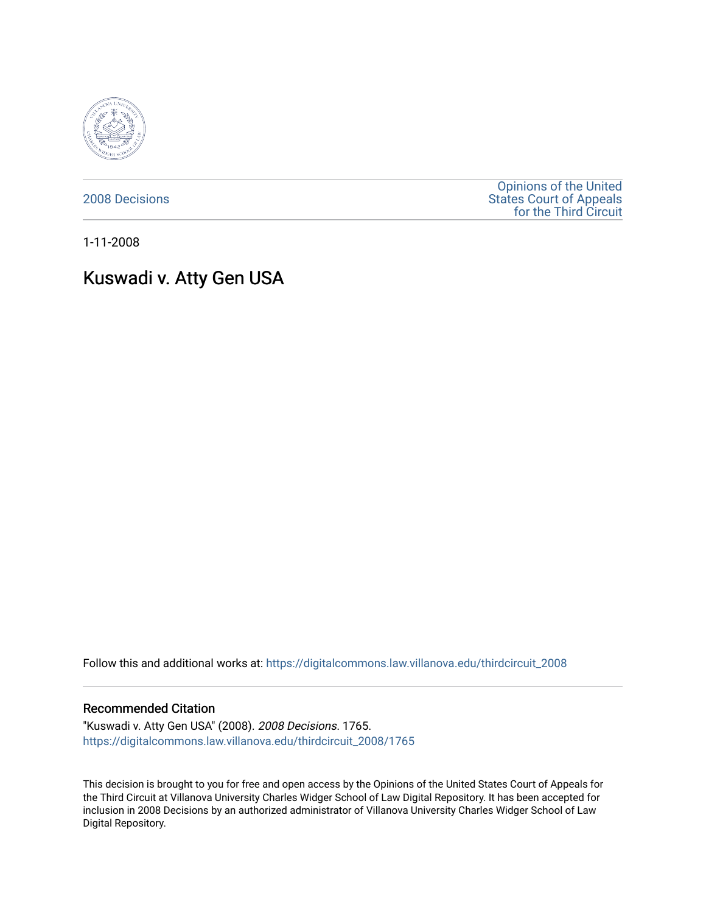

[2008 Decisions](https://digitalcommons.law.villanova.edu/thirdcircuit_2008)

[Opinions of the United](https://digitalcommons.law.villanova.edu/thirdcircuit)  [States Court of Appeals](https://digitalcommons.law.villanova.edu/thirdcircuit)  [for the Third Circuit](https://digitalcommons.law.villanova.edu/thirdcircuit) 

1-11-2008

# Kuswadi v. Atty Gen USA

Follow this and additional works at: [https://digitalcommons.law.villanova.edu/thirdcircuit\\_2008](https://digitalcommons.law.villanova.edu/thirdcircuit_2008?utm_source=digitalcommons.law.villanova.edu%2Fthirdcircuit_2008%2F1765&utm_medium=PDF&utm_campaign=PDFCoverPages) 

#### Recommended Citation

"Kuswadi v. Atty Gen USA" (2008). 2008 Decisions. 1765. [https://digitalcommons.law.villanova.edu/thirdcircuit\\_2008/1765](https://digitalcommons.law.villanova.edu/thirdcircuit_2008/1765?utm_source=digitalcommons.law.villanova.edu%2Fthirdcircuit_2008%2F1765&utm_medium=PDF&utm_campaign=PDFCoverPages) 

This decision is brought to you for free and open access by the Opinions of the United States Court of Appeals for the Third Circuit at Villanova University Charles Widger School of Law Digital Repository. It has been accepted for inclusion in 2008 Decisions by an authorized administrator of Villanova University Charles Widger School of Law Digital Repository.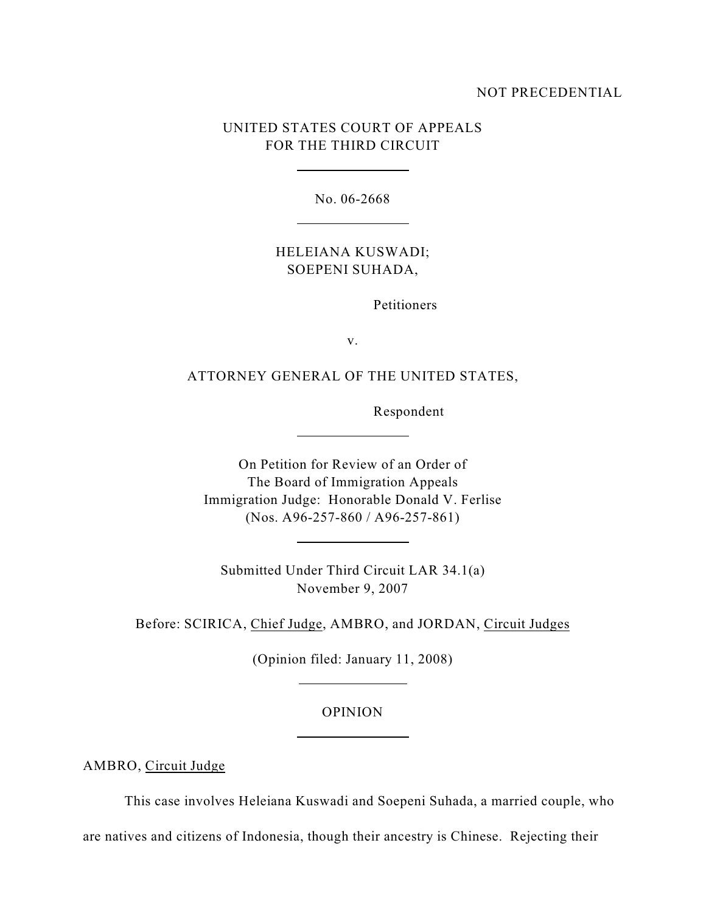### NOT PRECEDENTIAL

# UNITED STATES COURT OF APPEALS FOR THE THIRD CIRCUIT

 $\overline{a}$ 

l

l

 $\overline{a}$ 

 $\overline{a}$ 

l

No. 06-2668

# HELEIANA KUSWADI; SOEPENI SUHADA,

Petitioners

v.

## ATTORNEY GENERAL OF THE UNITED STATES,

Respondent

On Petition for Review of an Order of The Board of Immigration Appeals Immigration Judge: Honorable Donald V. Ferlise (Nos. A96-257-860 / A96-257-861)

Submitted Under Third Circuit LAR 34.1(a) November 9, 2007

Before: SCIRICA, Chief Judge, AMBRO, and JORDAN, Circuit Judges

(Opinion filed: January 11, 2008)

#### OPINION

AMBRO, Circuit Judge

This case involves Heleiana Kuswadi and Soepeni Suhada, a married couple, who

are natives and citizens of Indonesia, though their ancestry is Chinese. Rejecting their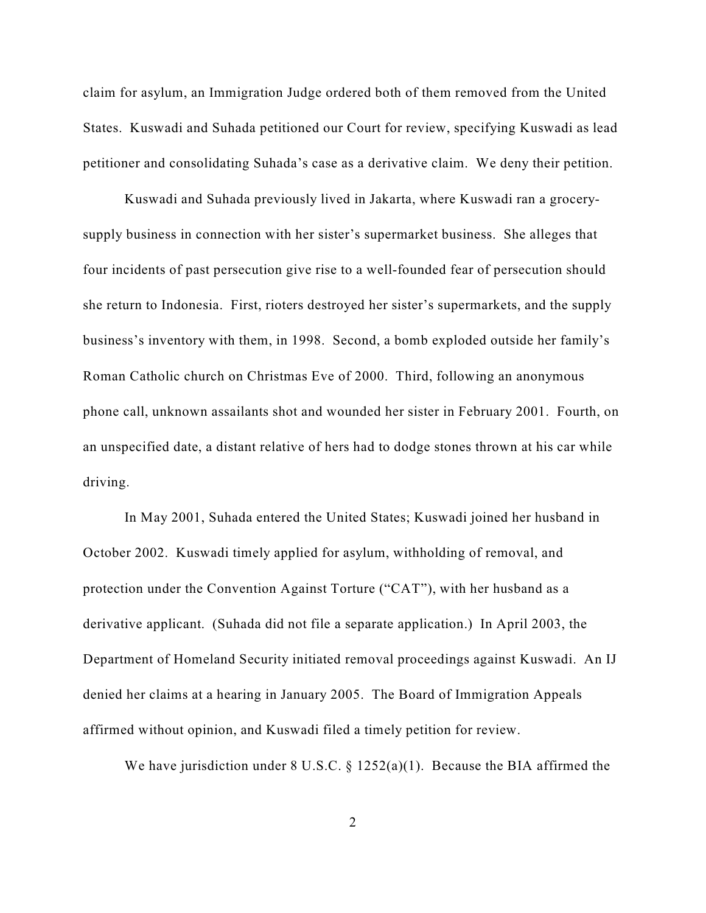claim for asylum, an Immigration Judge ordered both of them removed from the United States. Kuswadi and Suhada petitioned our Court for review, specifying Kuswadi as lead petitioner and consolidating Suhada's case as a derivative claim. We deny their petition.

Kuswadi and Suhada previously lived in Jakarta, where Kuswadi ran a grocerysupply business in connection with her sister's supermarket business. She alleges that four incidents of past persecution give rise to a well-founded fear of persecution should she return to Indonesia. First, rioters destroyed her sister's supermarkets, and the supply business's inventory with them, in 1998. Second, a bomb exploded outside her family's Roman Catholic church on Christmas Eve of 2000. Third, following an anonymous phone call, unknown assailants shot and wounded her sister in February 2001. Fourth, on an unspecified date, a distant relative of hers had to dodge stones thrown at his car while driving.

In May 2001, Suhada entered the United States; Kuswadi joined her husband in October 2002. Kuswadi timely applied for asylum, withholding of removal, and protection under the Convention Against Torture ("CAT"), with her husband as a derivative applicant. (Suhada did not file a separate application.) In April 2003, the Department of Homeland Security initiated removal proceedings against Kuswadi. An IJ denied her claims at a hearing in January 2005. The Board of Immigration Appeals affirmed without opinion, and Kuswadi filed a timely petition for review.

We have jurisdiction under 8 U.S.C.  $\S$  1252(a)(1). Because the BIA affirmed the

2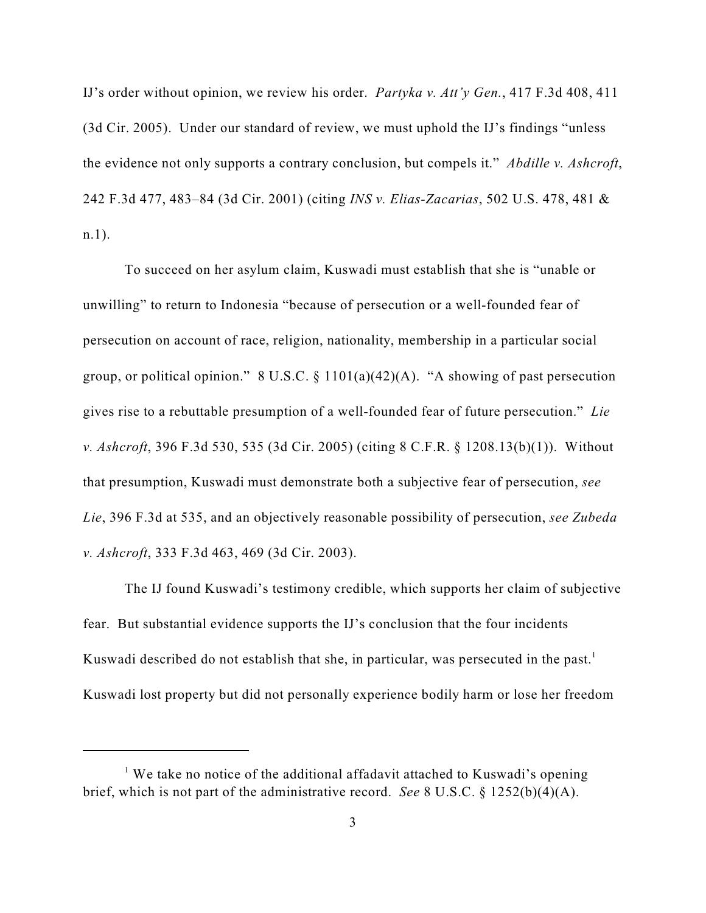IJ's order without opinion, we review his order. *Partyka v. Att'y Gen.*, 417 F.3d 408, 411 (3d Cir. 2005). Under our standard of review, we must uphold the IJ's findings "unless the evidence not only supports a contrary conclusion, but compels it." *Abdille v. Ashcroft*, 242 F.3d 477, 483–84 (3d Cir. 2001) (citing *INS v. Elias-Zacarias*, 502 U.S. 478, 481 & n.1).

To succeed on her asylum claim, Kuswadi must establish that she is "unable or unwilling" to return to Indonesia "because of persecution or a well-founded fear of persecution on account of race, religion, nationality, membership in a particular social group, or political opinion."  $8 \text{ U.S.C.} \$   $1101(a)(42)(\text{A})$ . "A showing of past persecution gives rise to a rebuttable presumption of a well-founded fear of future persecution." *Lie v. Ashcroft*, 396 F.3d 530, 535 (3d Cir. 2005) (citing 8 C.F.R. § 1208.13(b)(1)). Without that presumption, Kuswadi must demonstrate both a subjective fear of persecution, *see Lie*, 396 F.3d at 535, and an objectively reasonable possibility of persecution, *see Zubeda v. Ashcroft*, 333 F.3d 463, 469 (3d Cir. 2003).

The IJ found Kuswadi's testimony credible, which supports her claim of subjective fear. But substantial evidence supports the IJ's conclusion that the four incidents Kuswadi described do not establish that she, in particular, was persecuted in the past.<sup>1</sup> Kuswadi lost property but did not personally experience bodily harm or lose her freedom

<sup>&</sup>lt;sup>1</sup> We take no notice of the additional affadavit attached to Kuswadi's opening brief, which is not part of the administrative record. *See* 8 U.S.C. § 1252(b)(4)(A).